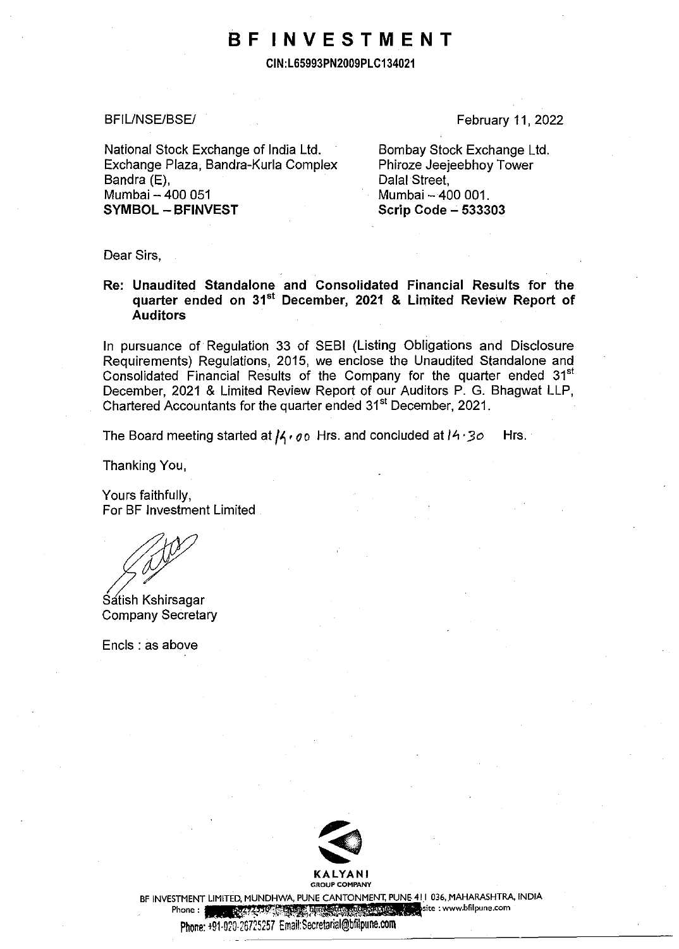# **BF INVESTMENT**

**CIN:L65993PN2009PLC134021** 

BFIL/NSE/BSE/

National Stock Exchange of India Ltd. Exchange Plaza, Bandra-Kurla Complex Bandra (E). Mumbai - 400 051 **SYMBOL - BFINVEST** 

February 11, 2022

Bombay Stock Exchange Ltd. Phiroze Jeejeebhoy Tower Dalal Street, Mumbai - 400 001. **Scrip Code - 533303** 

Dear Sirs,

## **Re: Unaudited Standalone and Consolidated Financial Results for the quarter ended on 31 st December, 2021 & Limited Review Report of Auditors**

In pursuance of Regulation 33 of SEBI (Listing Obligations and Disclosure Requirements) Regulations, 2015, we enclose the Unaudited Standalone and Consolidated Financial Results of the Company for the quarter ended 31<sup>st</sup> December, 2021 & Limited Review Report of our Auditors P. G. Bhagwat LLP, Chartered Accountants for the quarter ended 31<sup>st</sup> December, 2021.

The Board meeting started at  $\mu$ ,  $q_0$  Hrs. and concluded at  $14.30$  Hrs.

Thanking You,

Yours faithfully, For BF Investment Limited

**Satish Kshirsagar** Company Secretary

Encls : as above



BF INVESTMENT LIMITED, MUNDHWA, PUNE CANTONMENT, PUNE 411 036, MAHARASHTRA, INDIA

**Phone : "r.{-':5.~-J)jtB.Jiajpti.fiWWW site : www.bfilpune.com** 

Phone: +91-020-26725257. Email:Secretarial@bfilpune.com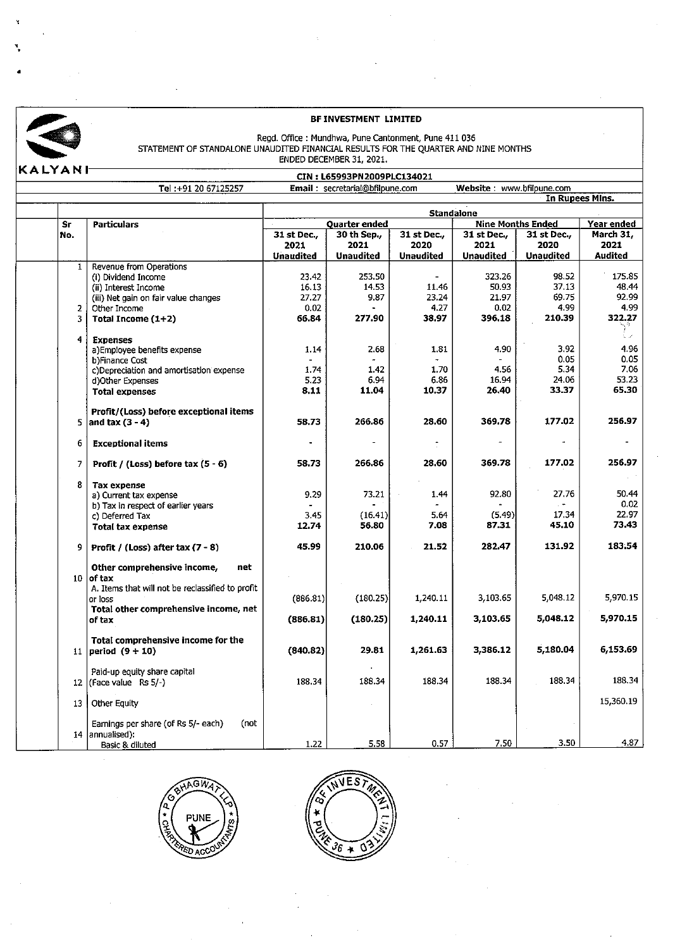

•

### **BF INVESTMENT LIMITED**

# BF INVESTMENT LIMITED<br>
STATEMENT OF STANDALONE UNAUDITED FINANCIAL RESULTS FOR THE QUARTER AND NINE MONTHS<br>
ENDED DECEMBER 31, 2021.

|                |                                                              |                                                                                 | CIN: L65993PN2009PLC134021 |                                                                         |                  |                  |                         |  |  |
|----------------|--------------------------------------------------------------|---------------------------------------------------------------------------------|----------------------------|-------------------------------------------------------------------------|------------------|------------------|-------------------------|--|--|
|                | Tel: +91 20 67125257                                         | Email: secretarial@bfilpune.com<br>Website: www.bfilpune.com<br>In Rupees Mins. |                            |                                                                         |                  |                  |                         |  |  |
|                |                                                              |                                                                                 |                            |                                                                         |                  |                  |                         |  |  |
|                |                                                              | <b>Standalone</b>                                                               |                            |                                                                         |                  |                  |                         |  |  |
| Sr<br>No.      | <b>Particulars</b>                                           | Quarter ended<br>30 th Sep.,<br>31 st Dec.,                                     |                            | <b>Nine Months Ended</b><br>31 st Dec.,<br>$31$ st Dec.,<br>31 st Dec., |                  |                  | Year ended<br>March 31. |  |  |
|                |                                                              | 2021                                                                            | 2021                       | 2020                                                                    | 2021             | 2020             | 2021                    |  |  |
|                |                                                              | <b>Unaudited</b>                                                                | Unaudited                  | <b>Unaudited</b>                                                        | <b>Unaudited</b> | <b>Unaudited</b> | <b>Audited</b>          |  |  |
| $\mathbf{1}$   | Revenue from Operations                                      |                                                                                 |                            |                                                                         |                  |                  |                         |  |  |
|                | (i) Dividend Income                                          | 23.42                                                                           | 253.50                     |                                                                         | 323.26           | 98.52            | 175.85                  |  |  |
|                | (ii) Interest Income                                         | 16.13                                                                           | 14.53                      | 11.46                                                                   | 50.93            | 37.13            | 48.44                   |  |  |
|                | (iii) Net gain on fair value changes                         | 27.27                                                                           | 9.87                       | 23.24                                                                   | 21.97            | 69.75            | 92.99                   |  |  |
| $\overline{2}$ | Other Income                                                 | 0.02                                                                            |                            | 4.27                                                                    | 0.02             | 4.99             | 4.99                    |  |  |
| 3              | Total Income $(1+2)$                                         | 66.84                                                                           | 277.90                     | 38.97                                                                   | 396.18           | 210.39           | 322.27                  |  |  |
| 4              | <b>Expenses</b>                                              |                                                                                 |                            |                                                                         |                  |                  | t iv                    |  |  |
|                | a)Employee benefits expense                                  | 1.14                                                                            | 2.68                       | 1.81                                                                    | 4.90             | 3.92             | 4.96                    |  |  |
|                | b)Finance Cost                                               |                                                                                 |                            |                                                                         |                  | 0.05             | 0.05                    |  |  |
|                | c)Depreciation and amortisation expense                      | 1.74                                                                            | 1.42                       | 1.70                                                                    | 4.56             | 5.34             | 7.06                    |  |  |
|                | d)Other Expenses                                             | 5.23                                                                            | 6.94                       | 6.86                                                                    | 16.94            | 24.06            | 53.23                   |  |  |
|                | <b>Total expenses</b>                                        | 8.11                                                                            | 11.04                      | 10.37                                                                   | 26.40            | 33.37            | 65.30                   |  |  |
|                | Profit/(Loss) before exceptional items                       |                                                                                 |                            |                                                                         |                  |                  |                         |  |  |
| 5              | and tax $(3 - 4)$                                            | 58.73                                                                           | 266.86                     | 28.60                                                                   | 369.78           | 177.02           | 256.97                  |  |  |
| 6              | <b>Exceptional items</b>                                     |                                                                                 |                            |                                                                         |                  |                  |                         |  |  |
| $\overline{7}$ | Profit / (Loss) before tax $(5 - 6)$                         | 58.73                                                                           | 266.86                     | 28.60                                                                   | 369.78           | 177.02           | 256.97                  |  |  |
| 8              | <b>Tax expense</b>                                           |                                                                                 |                            |                                                                         |                  |                  |                         |  |  |
|                | a) Current tax expense                                       | 9.29                                                                            | 73.21                      | 1.44                                                                    | 92.80            | 27.76            | 50.44                   |  |  |
|                | b) Tax in respect of earlier years                           |                                                                                 |                            |                                                                         |                  |                  | 0.02                    |  |  |
|                | c) Deferred Tax                                              | 3.45                                                                            | (16.41)                    | 5.64                                                                    | (5.49)           | 17.34            | 22.97                   |  |  |
|                | <b>Total tax expense</b>                                     | 12.74                                                                           | 56.80                      | 7.08                                                                    | 87.31            | 45.10            | 73.43                   |  |  |
| 9.             | Profit / (Loss) after tax $(7 - 8)$                          | 45.99                                                                           | 210.06                     | 21.52                                                                   | 282.47           | 131.92           | 183.54                  |  |  |
|                | Other comprehensive income,<br>net                           |                                                                                 |                            |                                                                         |                  |                  |                         |  |  |
|                | $10$ of tax                                                  |                                                                                 |                            |                                                                         |                  |                  |                         |  |  |
|                | A. Items that will not be reclassified to profit             |                                                                                 |                            |                                                                         |                  |                  |                         |  |  |
|                | or loss                                                      | (886.81)                                                                        | (180.25)                   | 1,240.11                                                                | 3,103.65         | 5,048.12         | 5,970.15                |  |  |
|                | Total other comprehensive income, net<br>of tax              | (886.81)                                                                        | (180.25)                   | 1,240.11                                                                | 3,103.65         | 5,048.12         | 5,970.15                |  |  |
|                |                                                              |                                                                                 |                            |                                                                         |                  |                  |                         |  |  |
|                | Total comprehensive income for the<br>11   period $(9 + 10)$ | (840.82)                                                                        | 29.81                      | 1,261.63                                                                | 3,386.12         | 5,180.04         | 6,153.69                |  |  |
|                |                                                              |                                                                                 |                            |                                                                         |                  |                  |                         |  |  |
|                | Paid-up equity share capital                                 |                                                                                 | 188.34                     | 188.34                                                                  | 188.34           | 188.34           | 188.34                  |  |  |
|                | 12 (Face value Rs $5/-$ )                                    | 188.34                                                                          |                            |                                                                         |                  |                  |                         |  |  |
| 13             | Other Equity                                                 |                                                                                 |                            |                                                                         |                  |                  | 15,360.19               |  |  |
|                | (not                                                         |                                                                                 |                            |                                                                         |                  |                  |                         |  |  |
|                | Earnings per share (of Rs 5/- each)<br>14 annualised):       |                                                                                 |                            |                                                                         |                  |                  |                         |  |  |
|                | Basic & diluted                                              | 1.22                                                                            | 5.58                       | 0.57                                                                    | 7.50             | 3.50             | 4.87                    |  |  |



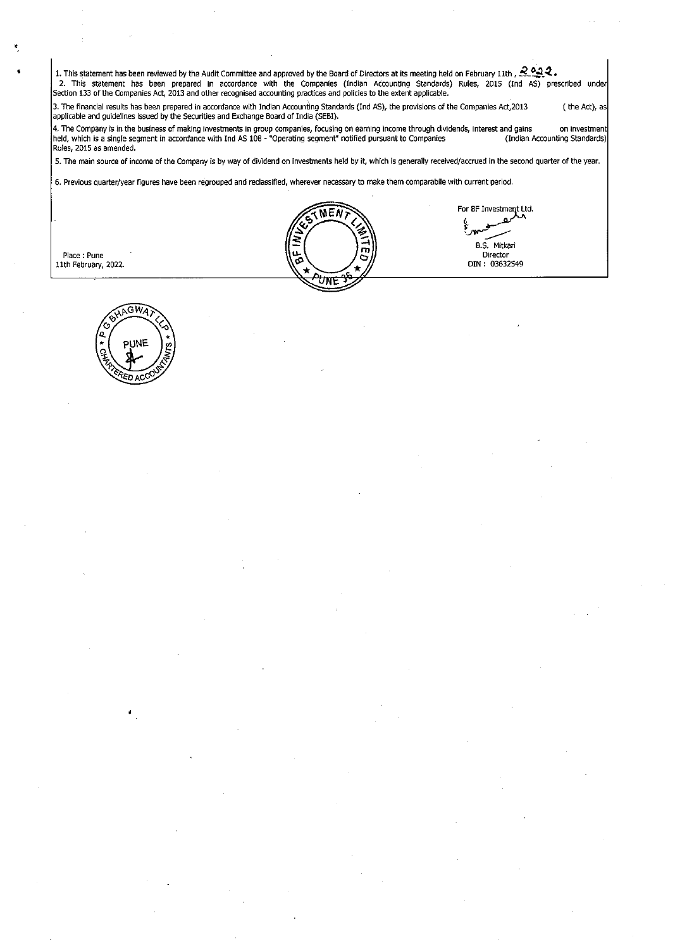1. This statement has been reviewed by the Audit Committee and approved by the Board of Directors at its meeting held on February 11th,  $\frac{2\cdot 2}{\cdot}$ . 2. This statement has been prepared in accordance with the Companies (Indian ACcounting Standards) Rules, 2015 (Ind AS) prescribed under Section 133 of the Companies Act, 2013 and other recognised accounting practices and policies to the extent applicable.

3. The financial results has been prepared in accordance with Indian Accounting Standards (Ind AS), the provisions of the Companies Act,2013 applicable and guidelines Issued by the Securities and Exchange Board of India (SEBI). ( the Act), as

4. The Company is in the business of making investments in group companies, focusing on earning income through dividends, interest and gains on investment held, which is a single segment in accordance with Ind *PS* 108 - "Operating segment" notified pursuant to Companies (Indian Accounting Standards) Rules, 2015 as amended,

5. The main source of income of the Company is by way of dividend on investments held by it, which is generally received/accrued in the second quarter of the year.

6. Previous quarter/year figures have been regrouped and reclassified, wherever necessary to make them comparabile with current period.



For BF Investment Ltd. or BF Investment B.S. Mitkari **Director** DIN : 03632549

Place : Pune 11th February, 2022.

•

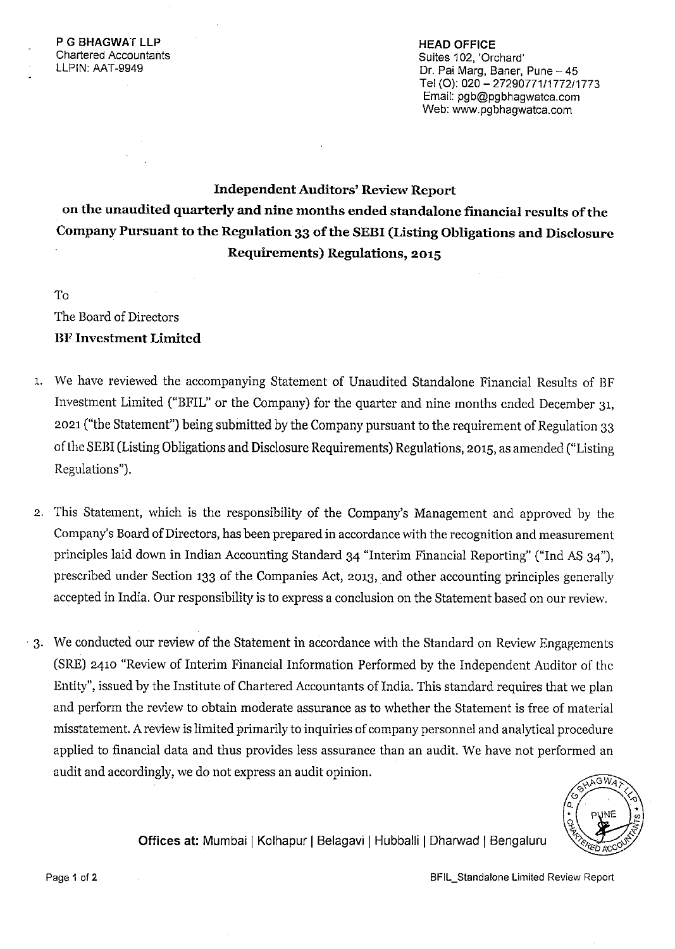**HEAD OFFICE**  Suites 102, 'Orchard' Dr. Pai Marg, Baner, Pune - 45 Tel (0): 020 - 27290771/1772/1773 Email: pgb@pgbhagwatca.com Web: www.pgbhagwatca.com

# **Independent Auditors' Review Report on the unaudited quarterly and nine months ended standalone financial results of the Company Pursuant to the Regulation 33 of the SEBI (Listing Obligations and Disclosure Requirements) Regulations, 2015**

# To

The Board of Directors **BF Investment Limited** 

- 1. We have reviewed the accompanying Statement of Unaudited Standalone Financial Results of BF Investment Limited ("BFIL" or the Company) for the quarter and nine months ended December 31, 2021 ("the Statement") being submitted by the Company pursuant to the requirement of Regulation 33 of the SEBI (Listing Obligations and Disclosure Requirements) Regulations, 2015, as amended ("Listing Regulations").
- 2. This Statement, which is the responsibility of the Company's Management and approved by the Company's Board of Directors, has been prepared in accordance with the recognition and measurement principles laid down in Indian Accounting Standard 34 "Interim Financial Reporting" ("Ind AS 34"), prescribed under Section 133 of the Companies Act, 2013, and other accounting principles generally accepted in India. Our responsibility is to express a conclusion on the Statement based on our review.
- · 3. We conducted our review of the Statement in accordance with the Standard on Review Engagements (SRE) 2410 "Review of Interim Financial Information Performed by the Independent Auditor of the Entity", issued by the Institute of Chartered Accountants of India. This standard requires that we plan and perform the review to obtain moderate assurance as to whether the Statement is free of material misstatement. A review is limited primarily to inquiries of company personnel and analytical procedure applied to financial data and thus provides less assurance than an audit. We have not performed an audit and accordingly, we do not express an audit opinion.



**Offices at: Mumbai | Kolhapur | Belagavi | Hubballi | Dharwad | Bengaluru**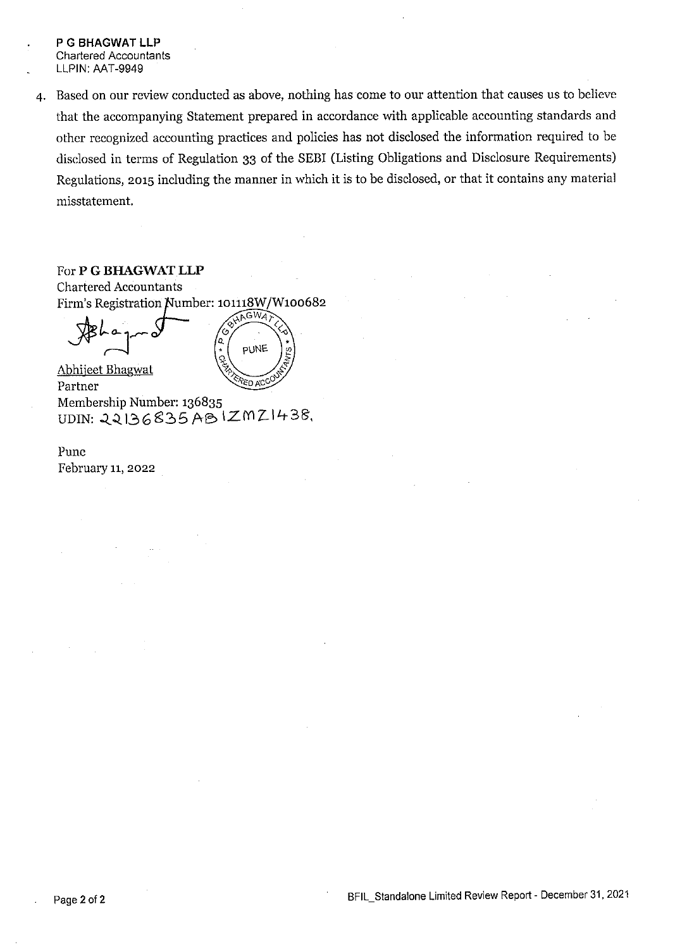- P G BHAGWAT LLP **Chartered Accountants** LLPIN: AAT-9949
- 4. Based on our review conducted as above, nothing has come to our attention that causes us to believe that the accompanying Statement prepared in accordance with applicable accounting standards and other recognized accounting practices and policies has not disclosed the information required to be disclosed in terms of Regulation 33 of the SEBI (Listing Obligations and Disclosure Requirements) Regulations, 2015 including the manner in which it is to be disclosed, or that it contains any material misstatement.

### For P G BHAGWAT LLP

**Chartered Accountants** Firm's Registration Number: 101118W/W100682 &HAGWA

'n o.

**PUNE** 

Abhiieet Bhagwat **PED ACC** Partner Membership Number: 136835 UDIN: 22136835 ABIZMZ1438.

Pune February 11, 2022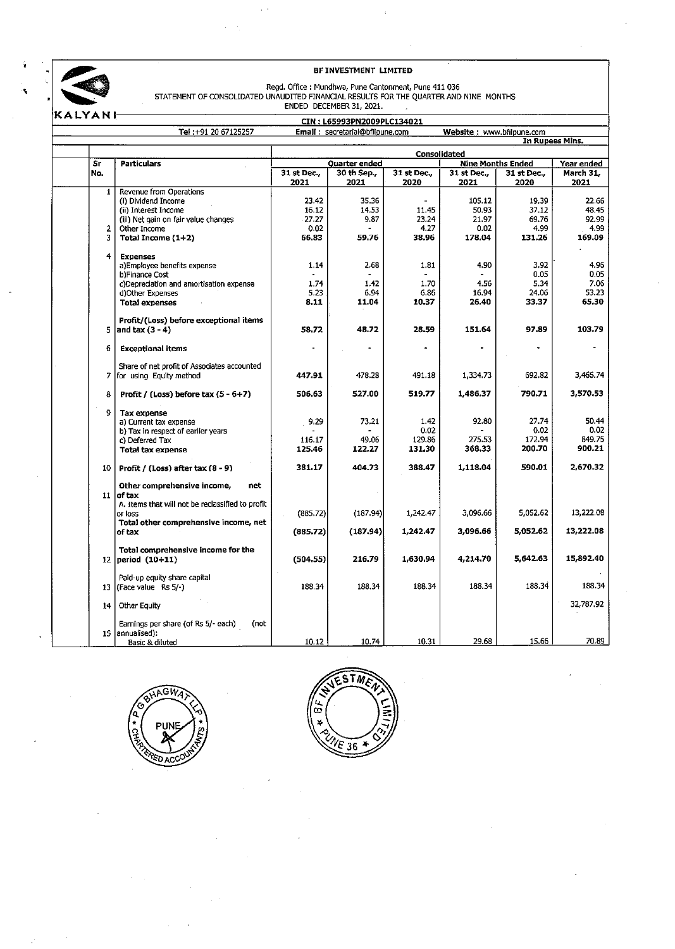

 $\hat{\mathcal{A}}$ 

| KALYANI         |                                                                          | CIN: L65993PN2009PLC134021 |                                 |                     |                           |                     |                   |  |  |
|-----------------|--------------------------------------------------------------------------|----------------------------|---------------------------------|---------------------|---------------------------|---------------------|-------------------|--|--|
|                 | Tel: +91 20 67125257                                                     |                            | Email: secretarial@bfilpune.com |                     | Website: www.bfilpune.com |                     |                   |  |  |
|                 |                                                                          |                            |                                 |                     |                           | In Rupees Mins.     |                   |  |  |
|                 |                                                                          | Consolidated               |                                 |                     |                           |                     |                   |  |  |
| Sr              | <b>Particulars</b>                                                       |                            | Quarter ended                   |                     | <b>Nine Months Ended</b>  |                     | Year ended        |  |  |
| No.             |                                                                          | 31 st Dec.,<br>2021        | 30 th Sep.,<br>2021             | 31 st Dec.,<br>2020 | 31 st Dec.<br>2021        | 31 st Dec.,<br>2020 | March 31,<br>2021 |  |  |
| $\mathbf{1}$    | Revenue from Operations                                                  |                            |                                 |                     |                           |                     |                   |  |  |
|                 | (i) Dividend Income                                                      | 23.42                      | 35.36                           |                     | 105.12                    | 19.39               | 22.66             |  |  |
|                 | (ii) Interest Income                                                     | 16.12                      | 14.53                           | 11.45               | 50.93                     | 37.12               | 48.45             |  |  |
|                 | (iii) Net gain on fair value changes                                     | 27.27                      | 9.87                            | 23.24               | 21.97                     | 69.76               | 92.99             |  |  |
| $\mathbf{2}$    | Other Income                                                             | 0.02                       |                                 | 4.27                | 0.02                      | 4.99                | 4.99              |  |  |
| 3               | Total Income $(1+2)$                                                     | 66.83                      | 59.76                           | 38.96               | 178.04                    | 131.26              | 169.09            |  |  |
| 4               | <b>Expenses</b>                                                          |                            |                                 |                     |                           |                     |                   |  |  |
|                 | a)Employee benefits expense                                              | 1.14                       | 2.68                            | 1.81                | 4.90                      | 3.92                | 4.96              |  |  |
|                 | b)Finance Cost                                                           |                            |                                 |                     |                           | 0.05                | 0.05              |  |  |
|                 | c)Depreciation and amortisation expense                                  | 1.74                       | 1.42                            | 1.70                | 4.56                      | 5.34                | 7.06              |  |  |
|                 | d)Other Expenses                                                         | 5.23                       | 6.94                            | 6.86                | 16.94                     | 24.06               | 53.23             |  |  |
|                 | <b>Total expenses</b>                                                    | 8.11                       | 11.04                           | 10.37               | 26.40                     | 33.37               | 65.30             |  |  |
|                 | Profit/(Loss) before exceptional items                                   |                            |                                 |                     |                           |                     |                   |  |  |
|                 | 5 and $\tan(3 - 4)$                                                      | 58.72                      | 48.72                           | 28.59               | 151.64                    | 97.89               | 103.79            |  |  |
| 6               | <b>Exceptional items</b>                                                 |                            |                                 |                     |                           |                     |                   |  |  |
|                 |                                                                          |                            |                                 |                     |                           |                     |                   |  |  |
|                 | Share of net profit of Associates accounted<br>7 for using Equity method | 447.91                     | 478.28                          | 491.18              | 1.334.73                  | 692.82              | 3,466.74          |  |  |
| 8               | Profit / (Loss) before tax $(5 - 6 + 7)$                                 | 506.63                     | 527.00                          | 519.77              | 1,486.37                  | 790.71              | 3,570.53          |  |  |
|                 |                                                                          |                            |                                 |                     |                           |                     |                   |  |  |
| 9               | <b>Tax expense</b><br>a) Current tax expense                             | 9.29                       | 73.21                           | 1.42                | 92.80                     | 27.74               | 50.44             |  |  |
|                 |                                                                          |                            |                                 | 0.02                |                           | 0.02                | 0.02              |  |  |
|                 | b) Tax in respect of earlier years                                       |                            |                                 |                     | 275.53                    | 172.94              | 849.75            |  |  |
|                 | c) Deferred Tax                                                          | 116.17<br>125.46           | 49.06<br>122.27                 | 129.86<br>131.30    | 368.33                    | 200.70              | 900.21            |  |  |
|                 | <b>Total tax expense</b>                                                 |                            |                                 |                     |                           |                     |                   |  |  |
|                 | $10$ Profit / (Loss) after tax $(8 - 9)$                                 | 381.17                     | 404.73                          | 388.47              | 1,118.04                  | 590.01              | 2,670.32          |  |  |
|                 | Other comprehensive income,<br>net                                       |                            |                                 |                     |                           |                     |                   |  |  |
|                 | 11 of $tax$                                                              |                            |                                 |                     |                           |                     |                   |  |  |
|                 | A. Items that will not be reclassified to profit                         |                            |                                 |                     |                           |                     |                   |  |  |
|                 | or loss                                                                  | (885.72)                   | (187.94)                        | 1,242.47            | 3.096.66                  | 5,052.62            | 13,222.08         |  |  |
|                 | Total other comprehensive income, net                                    |                            |                                 |                     |                           |                     |                   |  |  |
|                 | of tax                                                                   | (885.72)                   | (187.94)                        | 1,242.47            | 3,096.66                  | 5,052.62            | 13,222.08         |  |  |
|                 | Total comprehensive income for the                                       |                            |                                 |                     |                           |                     |                   |  |  |
|                 | 12   period $(10+11)$                                                    | (504.55)                   | 216.79                          | 1,630.94            | 4,214.70                  | 5,642.63            | 15,892.40         |  |  |
|                 | Paid-up equity share capital                                             |                            |                                 |                     |                           |                     |                   |  |  |
|                 | 13 (Face value Rs $5/-$ )                                                | 188.34                     | 188.34                          | 188 34              | 188.34                    | 188.34              | 188.34            |  |  |
| 14 <sup>1</sup> | Other Equity                                                             |                            |                                 |                     |                           |                     | 32,787.92         |  |  |
|                 | Earnings per share (of Rs 5/- each)<br>(not                              |                            |                                 |                     |                           |                     |                   |  |  |
|                 | 15 annualised):                                                          |                            |                                 |                     |                           |                     |                   |  |  |
|                 | Basic & diluted                                                          | 10.12                      | 10.74                           | 10.31               | 29.68                     | 15.66               | 70.89             |  |  |



 $\bar{z}$ 

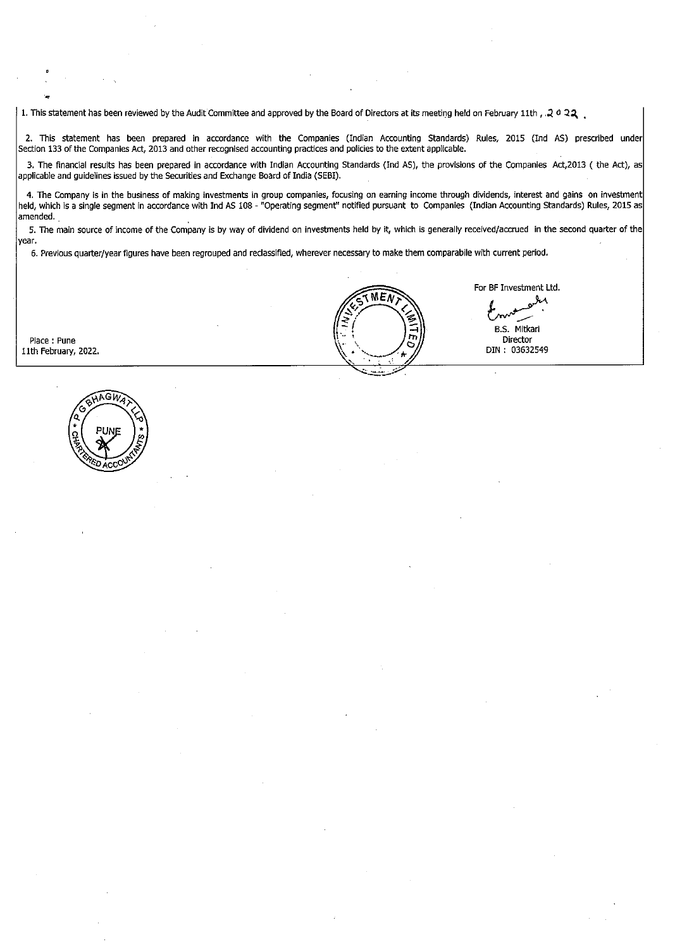1. This statement has been reviewed by the Audit Committee and approved by the Board of Directors at its meeting held on February 11th,  $2022$ 

2. This statement has been prepared in accordance with the Companies (Indian Accounting Standards) Rules, 2015 (Ind AS) prescribed under Section 133 of the Companies Act, 2013 and other recognised accounting practices and policies to the extent appllcable.

3. The financial results has been prepared in accordance with Indian Accounting Standards (Ind AS), the provisions of the Companies Act,2013 ( the Act), as applicable and guidelines issued by the Securities and Exchange Board of India (SEBI).

4. The Company is in the business of making investments in group companies, focusing on earning income through dividends, interest and gains on investment held, which is a single segment in accordance with Ind AS 108 - "Operating segment'' notified pursuant to Companies (Indian Accounting Standards) Rules, 2015 as amended.

5. The main source of income of the Company is by way of dividend on investments held by it, which is generally received/accrued in the second quarter of the year.

6. Previous quarter/year figures have been regrouped and reclassified, wherever necessary to make them comparabile with current period.

Place: Pune 11th February, 2022.



 $MEW$ 

For BF Investment Ltd. е.

B.S. Mitkari Director DIN : 03632549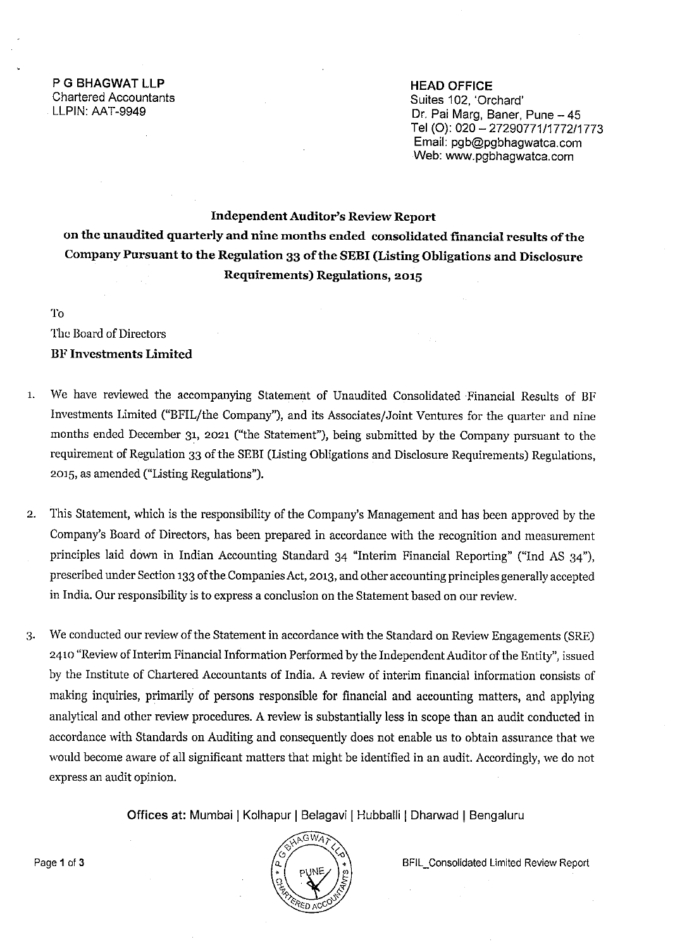**HEAD OFFICE**  Suites 102, 'Orchard' Dr. Pai Marg, Baner, Pune - 45 **Tel** (0): 020 - 27290771/1772/1773 Email: pgb@pgbhagwatca.com Web: www.pgbhagwatca.com

# **Independent Auditor's Review Report on the unaudited quarterly and nine months ended consolidated financial results of the Company Pursuant to the Regulation 33 of the SEBI (Listing Obligations and Disclosure Requirements) Regulations, 2015**

To

The Board of Directors **BF Investments Limited** 

- 1. We have reviewed the accompanying Statement of Unaudited Consolidated Financial Results of BF Investments Limited ("BFIL/the Company"), and its Associates/Joint Ventures for the quarter and nine months ended December 31, 2021 ("the Statement"), being submitted by the Company pursuant to the requirement of Regulation 33 of the SEBI (Listing Obligations and Disclosure Requirements) Regulations, 2015, as amended ("Listing Regulations").
- 2. This Statement, which is the responsibility of the Company's Management and has been approved by the Company's Board of Directors, has been prepared in accordance with the recognition and measurement principles laid down in Indian Accounting Standard 34 "Interim Financial Reporting" ("Ind AS 34"), prescribed under Section 133 of the Companies Act, 2013, and other accounting principles generally accepted in India. Our responsibility is to express a conclusion on the Statement based on our review.
- 3. We conducted our review of the Statement in accordance with the Standard on Review Engagements (SRE) 2410 "Review of Interim Financial Information Performed by the Independent Auditor of the Entity", issued by the Institute of Chartered Accountants of India. A review of interim financial information consists of making inquiries, primarily of persons responsible for financial and accounting matters, and applying analytical and other review procedures. A review is substantially less in scope than an audit conducted in accordance with Standards on Auditing and consequently does not enable us to obtain assurance that we would become aware of all significant matters that might be identified in an audit. Accordingly, we do not express an audit opinion.

**Offices at: Mumbai | Kolhapur | Belagavi | Hubballi | Dharwad | Bengaluru** 

Page 1 of 3 **Page 1 of 3 BFIL\_Consolidated Limited Review Report**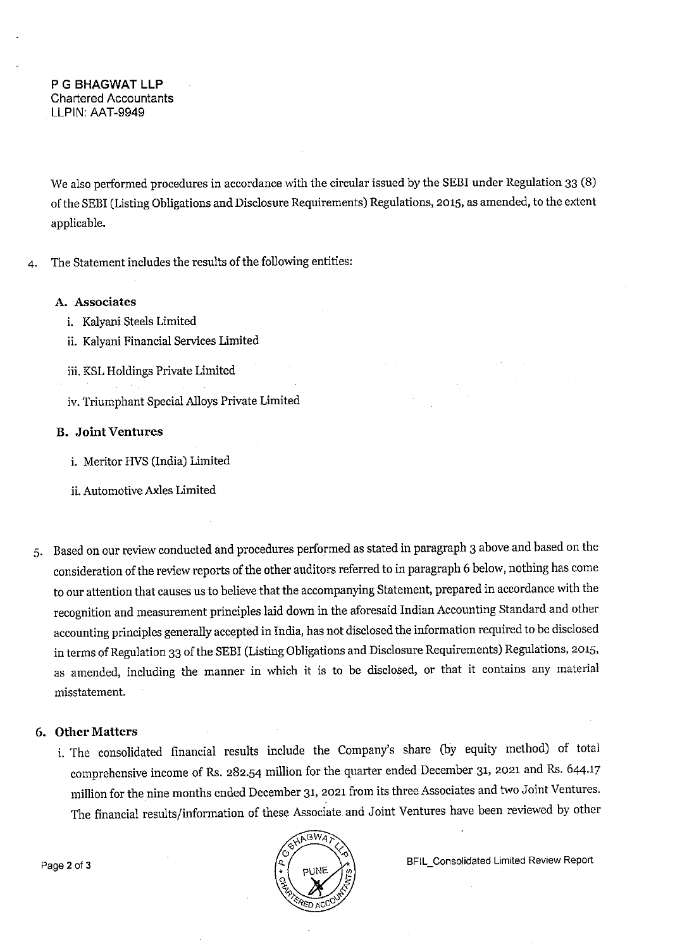We also performed procedures in accordance with the circular issued by the SEBI under Regulation 33 (8) of the SEBI (Listing Obligations and Disclosure Requirements) Regulations, 2015, as amended, to the extent applicable.

4. The Statement includes the results of the following entities:

### **A. Associates**

- i. Kalyani Steels Limited
- ii. Kalyani Financial Services Limited
- iii. KSL Holdings Private Limited
- iv. Triumphant Special Alloys Private Limited

# **B. JointVentures**

- i. Meritor HVS (India) Limited
- ii. Automotive Axles Limited
- 5. Based on our review conducted and procedures performed as stated in paragraph 3 above and based on the consideration of the review reports of the other auditors referred to in paragraph 6 below, nothing has come to our attention that causes us to believe that the accompanying Statement, prepared in accordance with the recognition and measurement principles laid down in the aforesaid Indian Accounting Standard and other accounting principles generally accepted in India, has not disclosed the information required to be disclosed in terms of Regulation 33 of the SEBI (Listing Obligations and Disclosure Requirements) Regulations, 2015, as amended, including the manner in which it is to be disclosed, or that it contains any material misstatement.

# **6. Other Matters**

i. The consolidated financial results include the Company's share (by equity method) of total comprehensive income of Rs. 282.54 million for the quarter ended December 31, 2021 and Rs. 644.17 million for the nine months ended December 31, 2021 from its three Associates and two Joint Ventures. The financial results/information of these Associate. and Joint Ventures have been reviewed by other



Page 2 of 3 **Page 2 of 3 BFIL\_Consolidated Limited Review Report**